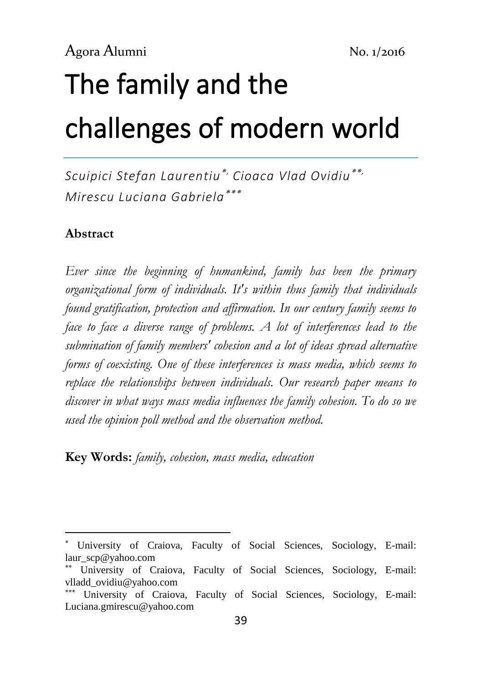# The family and the challenges of modern world

*Scuipici Stefan Laurentiu, Cioaca Vlad Ovidiu, Mirescu Luciana Gabriela*

### **Abstract**

-

*Ever since the beginning of humankind, family has been the primary organizational form of individuals. It's within thus family that individuals found gratification, protection and affirmation. In our century family seems to face to face a diverse range of problems. A lot of interferences lead to the submination of family members' cohesion and a lot of ideas spread alternative forms of coexisting. One of these interferences is mass media, which seems to replace the relationships between individuals. Our research paper means to discover in what ways mass media influences the family cohesion. To do so we used the opinion poll method and the observation method.*

**Key Words:** *family, cohesion, mass media, education*

University of Craiova, Faculty of Social Sciences, Sociology, E-mail: laur\_scp@yahoo.com

University of Craiova, Faculty of Social Sciences, Sociology, E-mail: vlladd\_ovidiu@yahoo.com

University of Craiova, Faculty of Social Sciences, Sociology, E-mail: Luciana.gmirescu@yahoo.com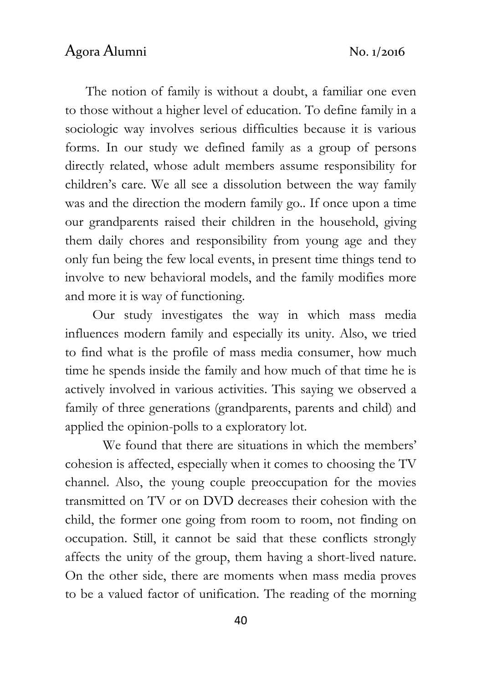The notion of family is without a doubt, a familiar one even to those without a higher level of education. To define family in a sociologic way involves serious difficulties because it is various forms. In our study we defined family as a group of persons directly related, whose adult members assume responsibility for children's care. We all see a dissolution between the way family was and the direction the modern family go.. If once upon a time our grandparents raised their children in the household, giving them daily chores and responsibility from young age and they only fun being the few local events, in present time things tend to involve to new behavioral models, and the family modifies more and more it is way of functioning.

 Our study investigates the way in which mass media influences modern family and especially its unity. Also, we tried to find what is the profile of mass media consumer, how much time he spends inside the family and how much of that time he is actively involved in various activities. This saying we observed a family of three generations (grandparents, parents and child) and applied the opinion-polls to a exploratory lot.

 We found that there are situations in which the members' cohesion is affected, especially when it comes to choosing the TV channel. Also, the young couple preoccupation for the movies transmitted on TV or on DVD decreases their cohesion with the child, the former one going from room to room, not finding on occupation. Still, it cannot be said that these conflicts strongly affects the unity of the group, them having a short-lived nature. On the other side, there are moments when mass media proves to be a valued factor of unification. The reading of the morning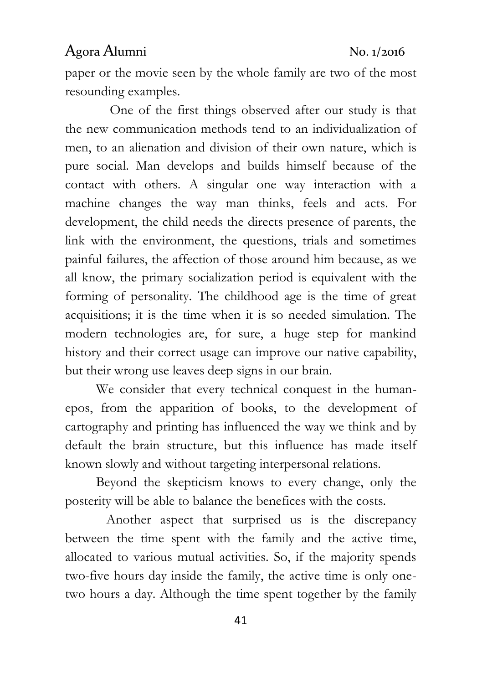paper or the movie seen by the whole family are two of the most resounding examples.

 One of the first things observed after our study is that the new communication methods tend to an individualization of men, to an alienation and division of their own nature, which is pure social. Man develops and builds himself because of the contact with others. A singular one way interaction with a machine changes the way man thinks, feels and acts. For development, the child needs the directs presence of parents, the link with the environment, the questions, trials and sometimes painful failures, the affection of those around him because, as we all know, the primary socialization period is equivalent with the forming of personality. The childhood age is the time of great acquisitions; it is the time when it is so needed simulation. The modern technologies are, for sure, a huge step for mankind history and their correct usage can improve our native capability, but their wrong use leaves deep signs in our brain.

 We consider that every technical conquest in the humanepos, from the apparition of books, to the development of cartography and printing has influenced the way we think and by default the brain structure, but this influence has made itself known slowly and without targeting interpersonal relations.

 Beyond the skepticism knows to every change, only the posterity will be able to balance the benefices with the costs.

 Another aspect that surprised us is the discrepancy between the time spent with the family and the active time, allocated to various mutual activities. So, if the majority spends two-five hours day inside the family, the active time is only onetwo hours a day. Although the time spent together by the family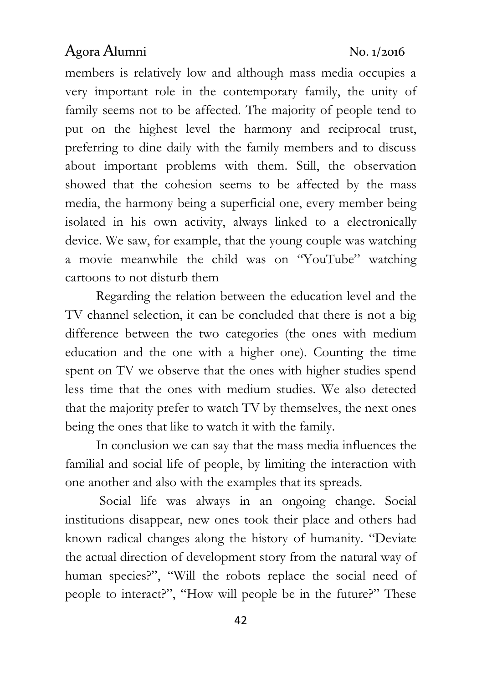members is relatively low and although mass media occupies a very important role in the contemporary family, the unity of family seems not to be affected. The majority of people tend to put on the highest level the harmony and reciprocal trust, preferring to dine daily with the family members and to discuss about important problems with them. Still, the observation showed that the cohesion seems to be affected by the mass media, the harmony being a superficial one, every member being isolated in his own activity, always linked to a electronically device. We saw, for example, that the young couple was watching a movie meanwhile the child was on "YouTube" watching cartoons to not disturb them

 Regarding the relation between the education level and the TV channel selection, it can be concluded that there is not a big difference between the two categories (the ones with medium education and the one with a higher one). Counting the time spent on TV we observe that the ones with higher studies spend less time that the ones with medium studies. We also detected that the majority prefer to watch TV by themselves, the next ones being the ones that like to watch it with the family.

 In conclusion we can say that the mass media influences the familial and social life of people, by limiting the interaction with one another and also with the examples that its spreads.

 Social life was always in an ongoing change. Social institutions disappear, new ones took their place and others had known radical changes along the history of humanity. "Deviate the actual direction of development story from the natural way of human species?", "Will the robots replace the social need of people to interact?", "How will people be in the future?" These